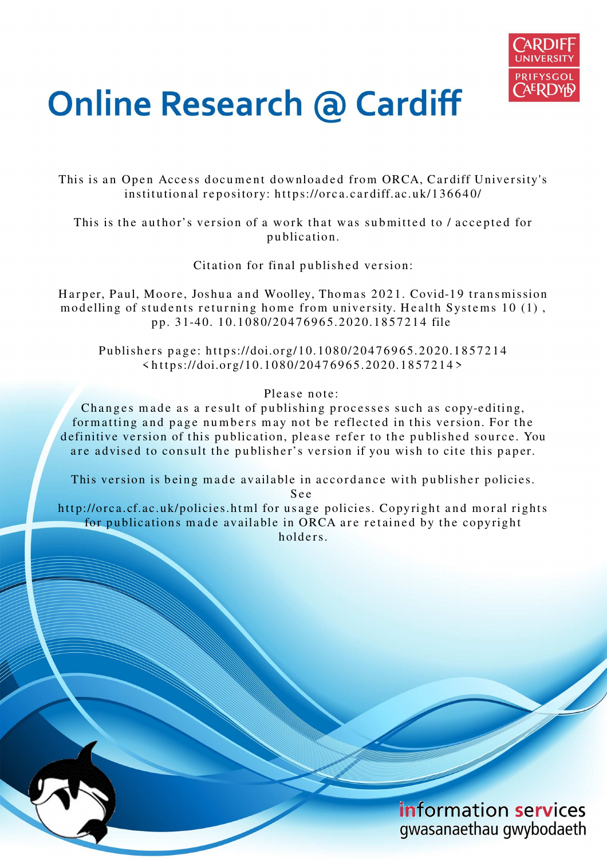

# **Online Research @ Cardiff**

This is an Open Access document downloaded from ORCA, Cardiff University's institutional repository: https://orca.cardiff.ac.uk/136640/

This is the author's version of a work that was submitted to / accepted for p u blication.

Citation for final published version:

Harper, Paul, Moore, Joshua and Woolley, Thomas 2021. Covid-19 transmission modelling of students returning home from university. Health Systems 10 (1), p p. 3 1-4 0. 1 0.10 8 0/20 4 7 6 9 6 5.2 02 0.18 5 7 2 1 4 file

Publishers page: https://doi.org/10.1080/20476965.2020.1857214  $\langle https://doi.org/10.1080/20476965.2020.1857214\rangle$ 

Please note:

Changes made as a result of publishing processes such as copy-editing, formatting and page numbers may not be reflected in this version. For the definitive version of this publication, please refer to the published source. You are advised to consult the publisher's version if you wish to cite this paper.

This version is being made available in accordance with publisher policies.

S e e

http://orca.cf.ac.uk/policies.html for usage policies. Copyright and moral rights for publications made available in ORCA are retained by the copyright holders.

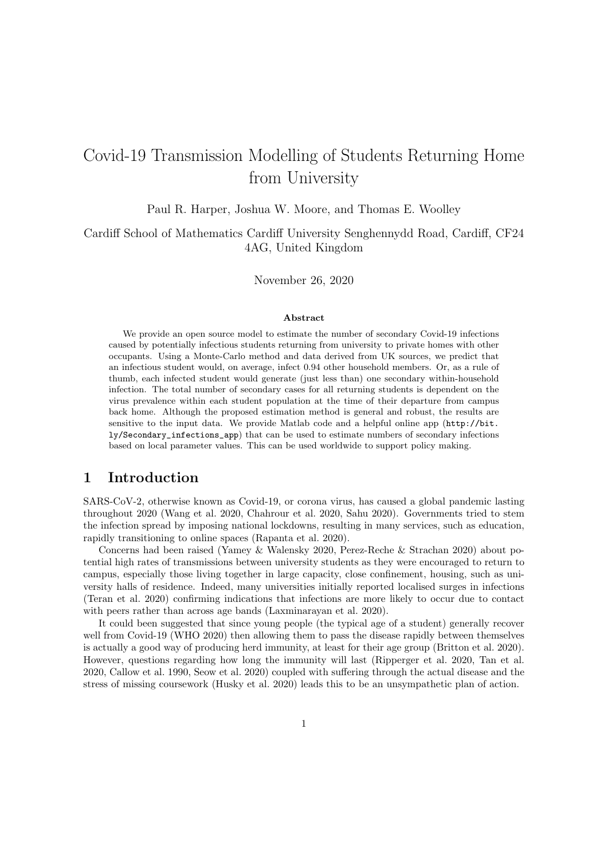## Covid-19 Transmission Modelling of Students Returning Home from University

Paul R. Harper, Joshua W. Moore, and Thomas E. Woolley

Cardiff School of Mathematics Cardiff University Senghennydd Road, Cardiff, CF24 4AG, United Kingdom

November 26, 2020

#### Abstract

We provide an open source model to estimate the number of secondary Covid-19 infections caused by potentially infectious students returning from university to private homes with other occupants. Using a Monte-Carlo method and data derived from UK sources, we predict that an infectious student would, on average, infect 0.94 other household members. Or, as a rule of thumb, each infected student would generate (just less than) one secondary within-household infection. The total number of secondary cases for all returning students is dependent on the virus prevalence within each student population at the time of their departure from campus back home. Although the proposed estimation method is general and robust, the results are sensitive to the input data. We provide Matlab code and a helpful online app (http://bit. ly/Secondary\_infections\_app) that can be used to estimate numbers of secondary infections based on local parameter values. This can be used worldwide to support policy making.

### 1 Introduction

SARS-CoV-2, otherwise known as Covid-19, or corona virus, has caused a global pandemic lasting throughout 2020 (Wang et al. 2020, Chahrour et al. 2020, Sahu 2020). Governments tried to stem the infection spread by imposing national lockdowns, resulting in many services, such as education, rapidly transitioning to online spaces (Rapanta et al. 2020).

Concerns had been raised (Yamey & Walensky 2020, Perez-Reche & Strachan 2020) about potential high rates of transmissions between university students as they were encouraged to return to campus, especially those living together in large capacity, close confinement, housing, such as university halls of residence. Indeed, many universities initially reported localised surges in infections (Teran et al. 2020) confirming indications that infections are more likely to occur due to contact with peers rather than across age bands (Laxminarayan et al. 2020).

It could been suggested that since young people (the typical age of a student) generally recover well from Covid-19 (WHO 2020) then allowing them to pass the disease rapidly between themselves is actually a good way of producing herd immunity, at least for their age group (Britton et al. 2020). However, questions regarding how long the immunity will last (Ripperger et al. 2020, Tan et al. 2020, Callow et al. 1990, Seow et al. 2020) coupled with suffering through the actual disease and the stress of missing coursework (Husky et al. 2020) leads this to be an unsympathetic plan of action.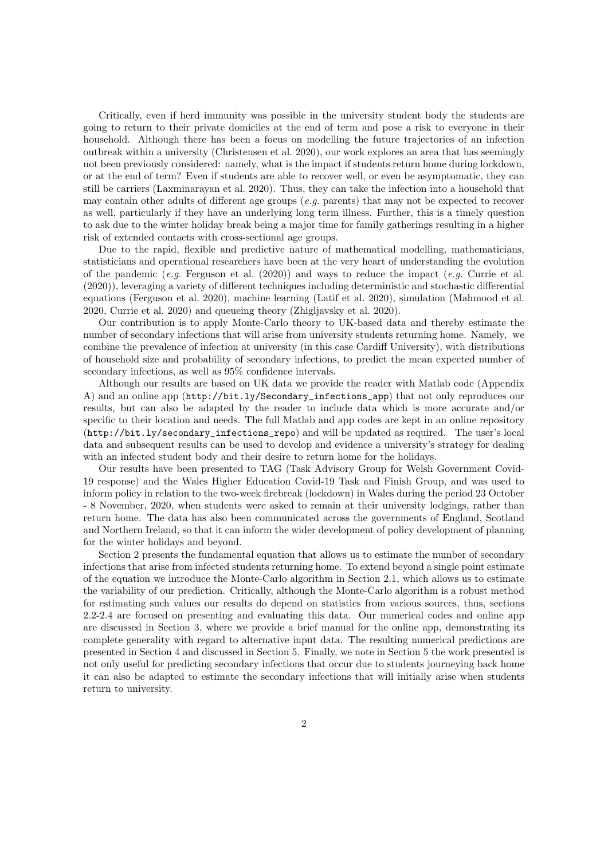Critically, even if herd immunity was possible in the university student body the students are going to return to their private domiciles at the end of term and pose a risk to everyone in their household. Although there has been a focus on modelling the future trajectories of an infection outbreak within a university (Christensen et al. 2020), our work explores an area that has seemingly not been previously considered: namely, what is the impact if students return home during lockdown, or at the end of term? Even if students are able to recover well, or even be asymptomatic, they can still be carriers (Laxminarayan et al. 2020). Thus, they can take the infection into a household that may contain other adults of different age groups  $(e.g.$  parents) that may not be expected to recover as well, particularly if they have an underlying long term illness. Further, this is a timely question to ask due to the winter holiday break being a major time for family gatherings resulting in a higher risk of extended contacts with cross-sectional age groups.

Due to the rapid, flexible and predictive nature of mathematical modelling, mathematicians, statisticians and operational researchers have been at the very heart of understanding the evolution of the pandemic  $(e,q)$ . Ferguson et al. (2020)) and ways to reduce the impact  $(e,q)$ . Currie et al. (2020)), leveraging a variety of different techniques including deterministic and stochastic differential equations (Ferguson et al. 2020), machine learning (Latif et al. 2020), simulation (Mahmood et al. 2020, Currie et al. 2020) and queueing theory (Zhigljavsky et al. 2020).

Our contribution is to apply Monte-Carlo theory to UK-based data and thereby estimate the number of secondary infections that will arise from university students returning home. Namely, we combine the prevalence of infection at university (in this case Cardiff University), with distributions of household size and probability of secondary infections, to predict the mean expected number of secondary infections, as well as 95% confidence intervals.

Although our results are based on UK data we provide the reader with Matlab code (Appendix A) and an online app (http://bit.ly/Secondary\_infections\_app) that not only reproduces our results, but can also be adapted by the reader to include data which is more accurate and/or specific to their location and needs. The full Matlab and app codes are kept in an online repository (http://bit.ly/secondary\_infections\_repo) and will be updated as required. The user's local data and subsequent results can be used to develop and evidence a university's strategy for dealing with an infected student body and their desire to return home for the holidays.

Our results have been presented to TAG (Task Advisory Group for Welsh Government Covid-19 response) and the Wales Higher Education Covid-19 Task and Finish Group, and was used to inform policy in relation to the two-week firebreak (lockdown) in Wales during the period 23 October - 8 November, 2020, when students were asked to remain at their university lodgings, rather than return home. The data has also been communicated across the governments of England, Scotland and Northern Ireland, so that it can inform the wider development of policy development of planning for the winter holidays and beyond.

Section 2 presents the fundamental equation that allows us to estimate the number of secondary infections that arise from infected students returning home. To extend beyond a single point estimate of the equation we introduce the Monte-Carlo algorithm in Section 2.1, which allows us to estimate the variability of our prediction. Critically, although the Monte-Carlo algorithm is a robust method for estimating such values our results do depend on statistics from various sources, thus, sections 2.2-2.4 are focused on presenting and evaluating this data. Our numerical codes and online app are discussed in Section 3, where we provide a brief manual for the online app, demonstrating its complete generality with regard to alternative input data. The resulting numerical predictions are presented in Section 4 and discussed in Section 5. Finally, we note in Section 5 the work presented is not only useful for predicting secondary infections that occur due to students journeying back home it can also be adapted to estimate the secondary infections that will initially arise when students return to university.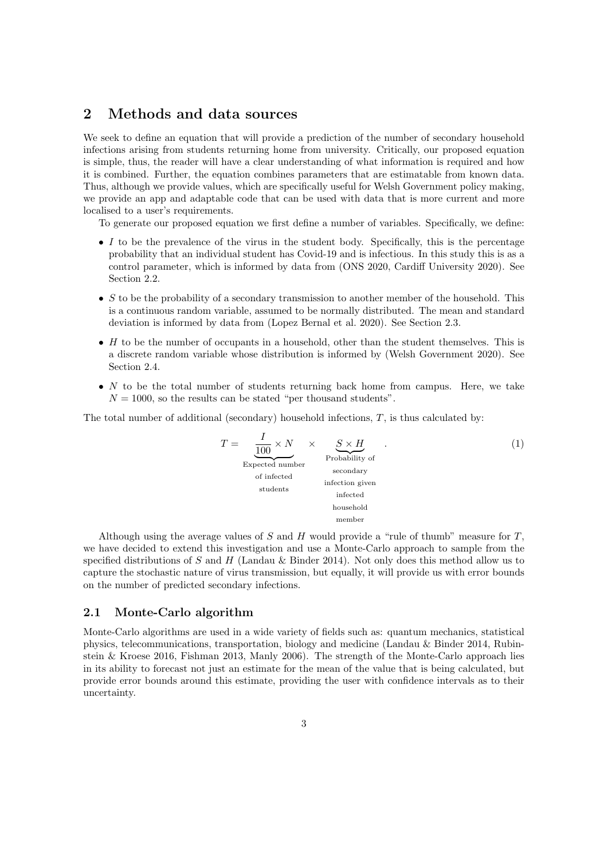### 2 Methods and data sources

We seek to define an equation that will provide a prediction of the number of secondary household infections arising from students returning home from university. Critically, our proposed equation is simple, thus, the reader will have a clear understanding of what information is required and how it is combined. Further, the equation combines parameters that are estimatable from known data. Thus, although we provide values, which are specifically useful for Welsh Government policy making, we provide an app and adaptable code that can be used with data that is more current and more localised to a user's requirements.

To generate our proposed equation we first define a number of variables. Specifically, we define:

- $\bullet$  I to be the prevalence of the virus in the student body. Specifically, this is the percentage probability that an individual student has Covid-19 and is infectious. In this study this is as a control parameter, which is informed by data from (ONS 2020, Cardiff University 2020). See Section 2.2.
- S to be the probability of a secondary transmission to another member of the household. This is a continuous random variable, assumed to be normally distributed. The mean and standard deviation is informed by data from (Lopez Bernal et al. 2020). See Section 2.3.
- $\bullet$  H to be the number of occupants in a household, other than the student themselves. This is a discrete random variable whose distribution is informed by (Welsh Government 2020). See Section 2.4.
- $N$  to be the total number of students returning back home from campus. Here, we take  $N = 1000$ , so the results can be stated "per thousand students".

The total number of additional (secondary) household infections, T, is thus calculated by:

$$
T = \underbrace{\frac{I}{100} \times N}_{\text{Expected number}} \times \underbrace{S \times H}_{\text{Probability of secondary}\\\text{of infected}\\\text{students}} \quad \underbrace{\text{Secondary}}_{\text{infected}\\\text{household}} \quad . \tag{1}
$$

Although using the average values of S and H would provide a "rule of thumb" measure for  $T$ . we have decided to extend this investigation and use a Monte-Carlo approach to sample from the specified distributions of S and H (Landau & Binder 2014). Not only does this method allow us to capture the stochastic nature of virus transmission, but equally, it will provide us with error bounds on the number of predicted secondary infections.

#### 2.1 Monte-Carlo algorithm

Monte-Carlo algorithms are used in a wide variety of fields such as: quantum mechanics, statistical physics, telecommunications, transportation, biology and medicine (Landau & Binder 2014, Rubinstein & Kroese 2016, Fishman 2013, Manly 2006). The strength of the Monte-Carlo approach lies in its ability to forecast not just an estimate for the mean of the value that is being calculated, but provide error bounds around this estimate, providing the user with confidence intervals as to their uncertainty.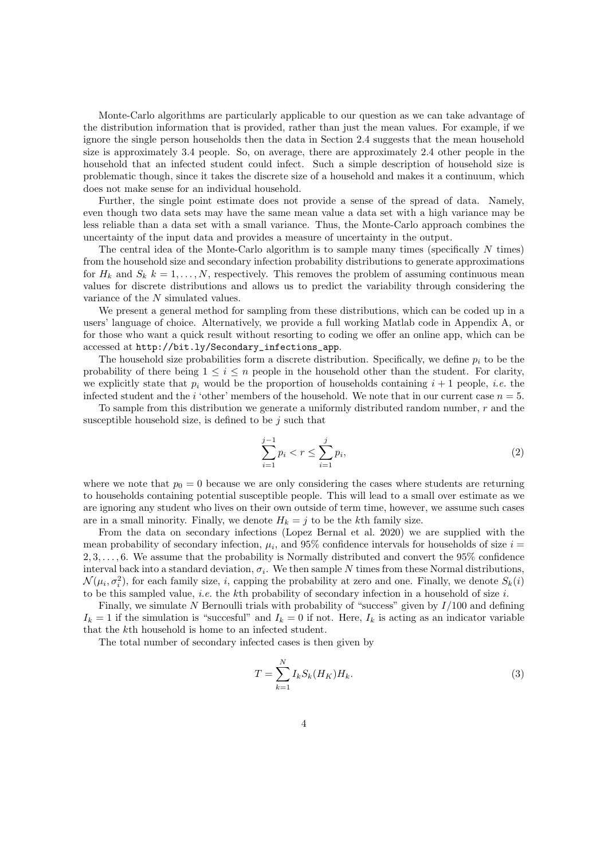Monte-Carlo algorithms are particularly applicable to our question as we can take advantage of the distribution information that is provided, rather than just the mean values. For example, if we ignore the single person households then the data in Section 2.4 suggests that the mean household size is approximately 3.4 people. So, on average, there are approximately 2.4 other people in the household that an infected student could infect. Such a simple description of household size is problematic though, since it takes the discrete size of a household and makes it a continuum, which does not make sense for an individual household.

Further, the single point estimate does not provide a sense of the spread of data. Namely, even though two data sets may have the same mean value a data set with a high variance may be less reliable than a data set with a small variance. Thus, the Monte-Carlo approach combines the uncertainty of the input data and provides a measure of uncertainty in the output.

The central idea of the Monte-Carlo algorithm is to sample many times (specifically  $N$  times) from the household size and secondary infection probability distributions to generate approximations for  $H_k$  and  $S_k$   $k = 1, ..., N$ , respectively. This removes the problem of assuming continuous mean values for discrete distributions and allows us to predict the variability through considering the variance of the N simulated values.

We present a general method for sampling from these distributions, which can be coded up in a users' language of choice. Alternatively, we provide a full working Matlab code in Appendix A, or for those who want a quick result without resorting to coding we offer an online app, which can be accessed at http://bit.ly/Secondary\_infections\_app.

The household size probabilities form a discrete distribution. Specifically, we define  $p_i$  to be the probability of there being  $1 \leq i \leq n$  people in the household other than the student. For clarity, we explicitly state that  $p_i$  would be the proportion of households containing  $i + 1$  people, *i.e.* the infected student and the *i* 'other' members of the household. We note that in our current case  $n = 5$ .

To sample from this distribution we generate a uniformly distributed random number,  $r$  and the susceptible household size, is defined to be  $j$  such that

$$
\sum_{i=1}^{j-1} p_i < r \le \sum_{i=1}^j p_i,\tag{2}
$$

where we note that  $p_0 = 0$  because we are only considering the cases where students are returning to households containing potential susceptible people. This will lead to a small over estimate as we are ignoring any student who lives on their own outside of term time, however, we assume such cases are in a small minority. Finally, we denote  $H_k = i$  to be the kth family size.

From the data on secondary infections (Lopez Bernal et al. 2020) we are supplied with the mean probability of secondary infection,  $\mu_i$ , and 95% confidence intervals for households of size  $i =$ 2, 3, . . . , 6. We assume that the probability is Normally distributed and convert the 95% confidence interval back into a standard deviation,  $\sigma_i$ . We then sample N times from these Normal distributions,  $\mathcal{N}(\mu_i, \sigma_i^2)$ , for each family size, *i*, capping the probability at zero and one. Finally, we denote  $S_k(i)$ to be this sampled value, *i.e.* the kth probability of secondary infection in a household of size  $i$ .

Finally, we simulate N Bernoulli trials with probability of "success" given by  $I/100$  and defining  $I_k = 1$  if the simulation is "succesful" and  $I_k = 0$  if not. Here,  $I_k$  is acting as an indicator variable that the kth household is home to an infected student.

The total number of secondary infected cases is then given by

$$
T = \sum_{k=1}^{N} I_k S_k (H_K) H_k.
$$
\n(3)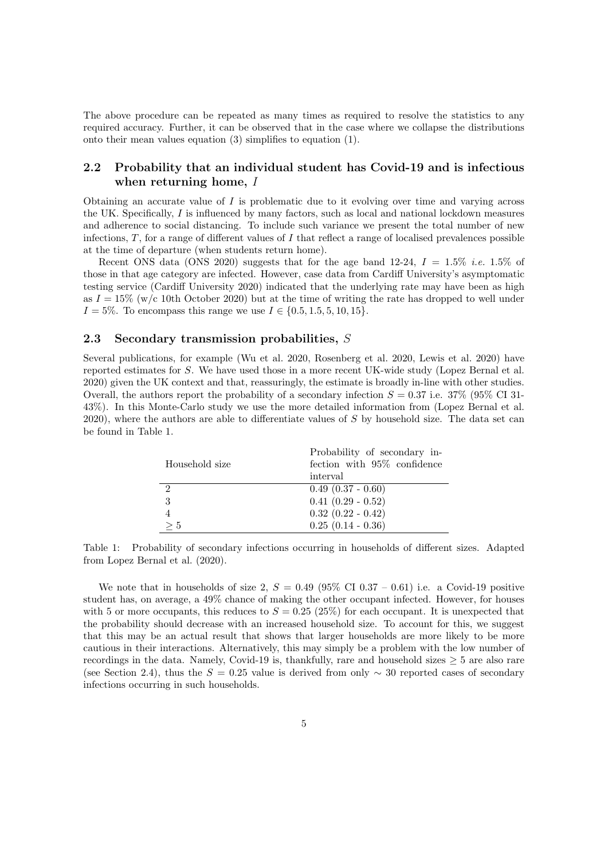The above procedure can be repeated as many times as required to resolve the statistics to any required accuracy. Further, it can be observed that in the case where we collapse the distributions onto their mean values equation (3) simplifies to equation (1).

#### 2.2 Probability that an individual student has Covid-19 and is infectious when returning home, I

Obtaining an accurate value of  $I$  is problematic due to it evolving over time and varying across the UK. Specifically,  $I$  is influenced by many factors, such as local and national lockdown measures and adherence to social distancing. To include such variance we present the total number of new infections,  $T$ , for a range of different values of  $I$  that reflect a range of localised prevalences possible at the time of departure (when students return home).

Recent ONS data (ONS 2020) suggests that for the age band 12-24,  $I = 1.5\%$  *i.e.* 1.5% of those in that age category are infected. However, case data from Cardiff University's asymptomatic testing service (Cardiff University 2020) indicated that the underlying rate may have been as high as  $I = 15\%$  (w/c 10th October 2020) but at the time of writing the rate has dropped to well under  $I = 5\%$ . To encompass this range we use  $I \in \{0.5, 1.5, 5, 10, 15\}.$ 

#### 2.3 Secondary transmission probabilities, S

Several publications, for example (Wu et al. 2020, Rosenberg et al. 2020, Lewis et al. 2020) have reported estimates for S. We have used those in a more recent UK-wide study (Lopez Bernal et al. 2020) given the UK context and that, reassuringly, the estimate is broadly in-line with other studies. Overall, the authors report the probability of a secondary infection  $S = 0.37$  i.e. 37% (95% CI 31-43%). In this Monte-Carlo study we use the more detailed information from (Lopez Bernal et al. 2020), where the authors are able to differentiate values of S by household size. The data set can be found in Table 1.

| Household size | Probability of secondary in-<br>fection with 95% confidence |
|----------------|-------------------------------------------------------------|
|                | interval                                                    |
| 2              | $0.49$ $(0.37 - 0.60)$                                      |
| 3              | $0.41$ $(0.29 - 0.52)$                                      |
|                | $0.32$ $(0.22 - 0.42)$                                      |
| > 5            | $0.25$ $(0.14 - 0.36)$                                      |

Table 1: Probability of secondary infections occurring in households of different sizes. Adapted from Lopez Bernal et al. (2020).

We note that in households of size 2,  $S = 0.49$  (95% CI 0.37 – 0.61) i.e. a Covid-19 positive student has, on average, a 49% chance of making the other occupant infected. However, for houses with 5 or more occupants, this reduces to  $S = 0.25$  (25%) for each occupant. It is unexpected that the probability should decrease with an increased household size. To account for this, we suggest that this may be an actual result that shows that larger households are more likely to be more cautious in their interactions. Alternatively, this may simply be a problem with the low number of recordings in the data. Namely, Covid-19 is, thankfully, rare and household sizes  $\geq 5$  are also rare (see Section 2.4), thus the  $S = 0.25$  value is derived from only ~ 30 reported cases of secondary infections occurring in such households.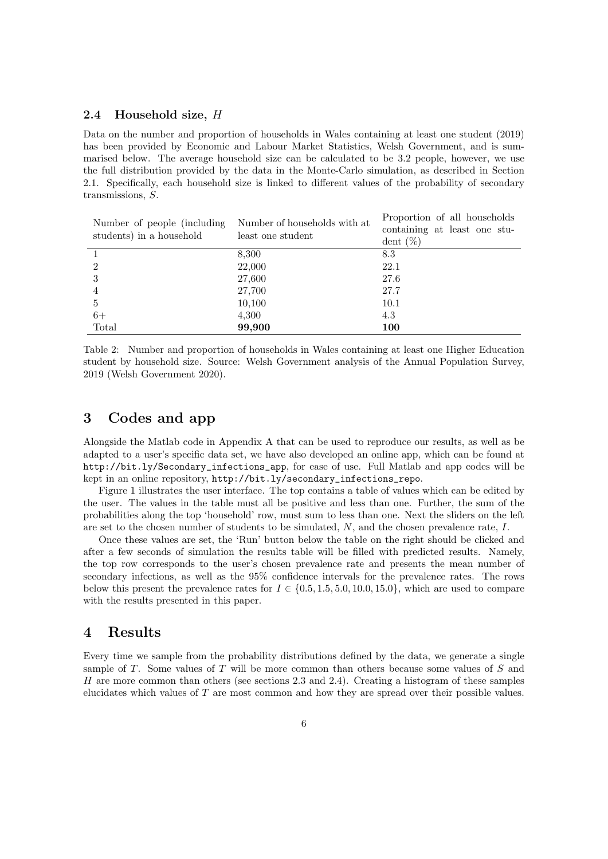#### 2.4 Household size, H

Data on the number and proportion of households in Wales containing at least one student (2019) has been provided by Economic and Labour Market Statistics, Welsh Government, and is summarised below. The average household size can be calculated to be 3.2 people, however, we use the full distribution provided by the data in the Monte-Carlo simulation, as described in Section 2.1. Specifically, each household size is linked to different values of the probability of secondary transmissions, S.

| Number of people (including)<br>students) in a household | Number of households with at<br>least one student | Proportion of all households<br>containing at least one stu-<br>dent $(\%)$ |
|----------------------------------------------------------|---------------------------------------------------|-----------------------------------------------------------------------------|
|                                                          | 8,300                                             | 8.3                                                                         |
| $\overline{2}$                                           | 22,000                                            | 22.1                                                                        |
| 3                                                        | 27,600                                            | 27.6                                                                        |
| $\overline{4}$                                           | 27,700                                            | 27.7                                                                        |
| $\overline{5}$                                           | 10,100                                            | 10.1                                                                        |
| $6+$                                                     | 4,300                                             | 4.3                                                                         |
| Total                                                    | 99,900                                            | 100                                                                         |

Table 2: Number and proportion of households in Wales containing at least one Higher Education student by household size. Source: Welsh Government analysis of the Annual Population Survey, 2019 (Welsh Government 2020).

## 3 Codes and app

Alongside the Matlab code in Appendix A that can be used to reproduce our results, as well as be adapted to a user's specific data set, we have also developed an online app, which can be found at http://bit.ly/Secondary\_infections\_app, for ease of use. Full Matlab and app codes will be kept in an online repository, http://bit.ly/secondary\_infections\_repo.

Figure 1 illustrates the user interface. The top contains a table of values which can be edited by the user. The values in the table must all be positive and less than one. Further, the sum of the probabilities along the top 'household' row, must sum to less than one. Next the sliders on the left are set to the chosen number of students to be simulated, N, and the chosen prevalence rate, I.

Once these values are set, the 'Run' button below the table on the right should be clicked and after a few seconds of simulation the results table will be filled with predicted results. Namely, the top row corresponds to the user's chosen prevalence rate and presents the mean number of secondary infections, as well as the 95% confidence intervals for the prevalence rates. The rows below this present the prevalence rates for  $I \in \{0.5, 1.5, 5.0, 10.0, 15.0\}$ , which are used to compare with the results presented in this paper.

## 4 Results

Every time we sample from the probability distributions defined by the data, we generate a single sample of T. Some values of T will be more common than others because some values of S and H are more common than others (see sections 2.3 and 2.4). Creating a histogram of these samples elucidates which values of T are most common and how they are spread over their possible values.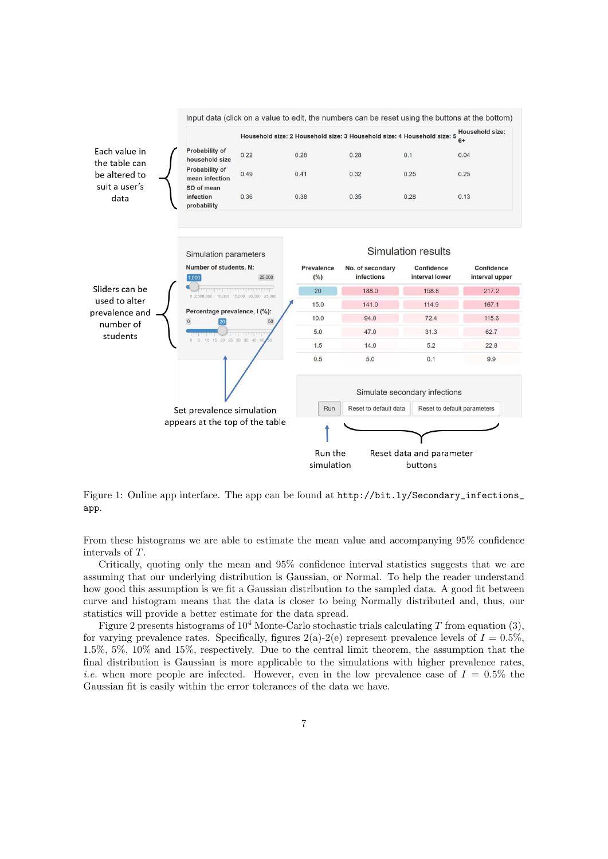

Figure 1: Online app interface. The app can be found at http://bit.ly/Secondary\_infections\_ app.

From these histograms we are able to estimate the mean value and accompanying 95% confidence intervals of T.

Critically, quoting only the mean and 95% confidence interval statistics suggests that we are assuming that our underlying distribution is Gaussian, or Normal. To help the reader understand how good this assumption is we fit a Gaussian distribution to the sampled data. A good fit between curve and histogram means that the data is closer to being Normally distributed and, thus, our statistics will provide a better estimate for the data spread.

Figure 2 presents histograms of  $10^4$  Monte-Carlo stochastic trials calculating T from equation (3), for varying prevalence rates. Specifically, figures  $2(a)-2(e)$  represent prevalence levels of  $I = 0.5\%$ , 1.5%, 5%, 10% and 15%, respectively. Due to the central limit theorem, the assumption that the final distribution is Gaussian is more applicable to the simulations with higher prevalence rates, *i.e.* when more people are infected. However, even in the low prevalence case of  $I = 0.5\%$  the Gaussian fit is easily within the error tolerances of the data we have.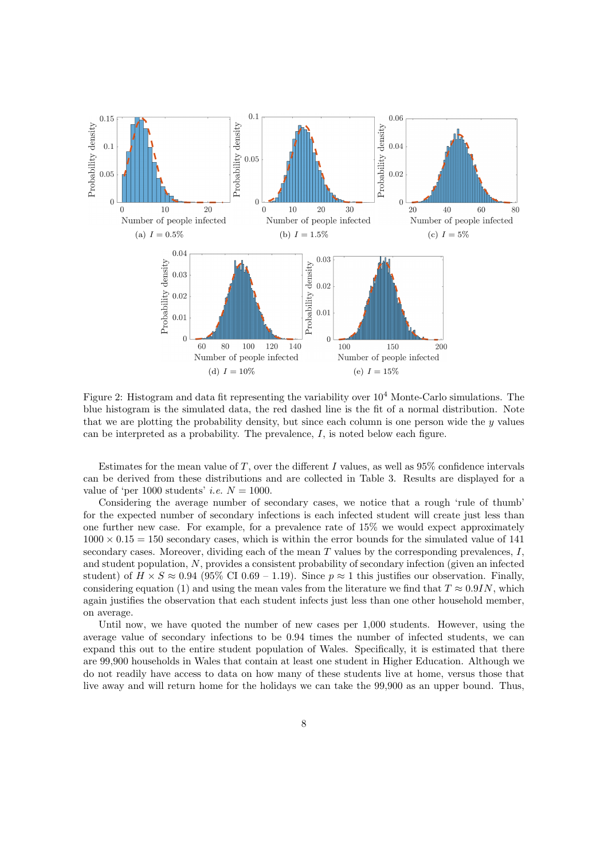

Figure 2: Histogram and data fit representing the variability over  $10^4$  Monte-Carlo simulations. The blue histogram is the simulated data, the red dashed line is the fit of a normal distribution. Note that we are plotting the probability density, but since each column is one person wide the  $y$  values can be interpreted as a probability. The prevalence,  $I$ , is noted below each figure.

Estimates for the mean value of T, over the different I values, as well as  $95\%$  confidence intervals can be derived from these distributions and are collected in Table 3. Results are displayed for a value of 'per 1000 students' *i.e.*  $N = 1000$ .

Considering the average number of secondary cases, we notice that a rough 'rule of thumb' for the expected number of secondary infections is each infected student will create just less than one further new case. For example, for a prevalence rate of 15% we would expect approximately  $1000 \times 0.15 = 150$  secondary cases, which is within the error bounds for the simulated value of 141 secondary cases. Moreover, dividing each of the mean  $T$  values by the corresponding prevalences,  $I$ , and student population, N, provides a consistent probability of secondary infection (given an infected student) of  $H \times S \approx 0.94$  (95% CI 0.69 – 1.19). Since  $p \approx 1$  this justifies our observation. Finally, considering equation (1) and using the mean vales from the literature we find that  $T \approx 0.9$ IN, which again justifies the observation that each student infects just less than one other household member, on average.

Until now, we have quoted the number of new cases per 1,000 students. However, using the average value of secondary infections to be 0.94 times the number of infected students, we can expand this out to the entire student population of Wales. Specifically, it is estimated that there are 99,900 households in Wales that contain at least one student in Higher Education. Although we do not readily have access to data on how many of these students live at home, versus those that live away and will return home for the holidays we can take the 99,900 as an upper bound. Thus,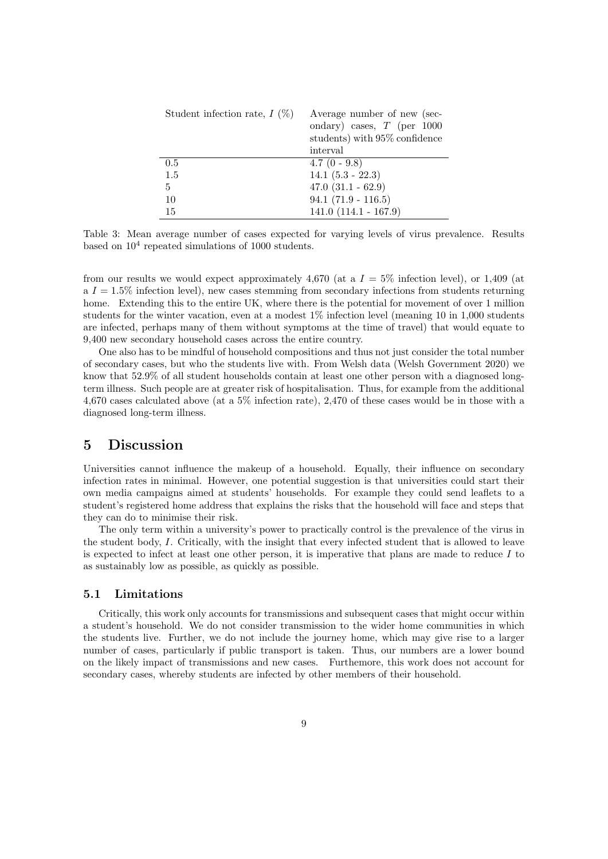| Student infection rate, $I(\%)$ | Average number of new (sec-<br>ondary) cases, $T$ (per 1000<br>students) with 95% confidence |
|---------------------------------|----------------------------------------------------------------------------------------------|
|                                 | interval                                                                                     |
| 0.5                             | $4.7(0 - 9.8)$                                                                               |
| 1.5                             | $14.1 (5.3 - 22.3)$                                                                          |
| 5                               | $47.0$ $(31.1 - 62.9)$                                                                       |
| 10                              | $94.1 (71.9 - 116.5)$                                                                        |
| 15                              | $141.0 (114.1 - 167.9)$                                                                      |

Table 3: Mean average number of cases expected for varying levels of virus prevalence. Results based on  $10^4$  repeated simulations of 1000 students.

from our results we would expect approximately 4,670 (at a  $I = 5\%$  infection level), or 1,409 (at  $a I = 1.5\%$  infection level), new cases stemming from secondary infections from students returning home. Extending this to the entire UK, where there is the potential for movement of over 1 million students for the winter vacation, even at a modest 1% infection level (meaning 10 in 1,000 students are infected, perhaps many of them without symptoms at the time of travel) that would equate to 9,400 new secondary household cases across the entire country.

One also has to be mindful of household compositions and thus not just consider the total number of secondary cases, but who the students live with. From Welsh data (Welsh Government 2020) we know that 52.9% of all student households contain at least one other person with a diagnosed longterm illness. Such people are at greater risk of hospitalisation. Thus, for example from the additional 4,670 cases calculated above (at a 5% infection rate), 2,470 of these cases would be in those with a diagnosed long-term illness.

#### 5 Discussion

Universities cannot influence the makeup of a household. Equally, their influence on secondary infection rates in minimal. However, one potential suggestion is that universities could start their own media campaigns aimed at students' households. For example they could send leaflets to a student's registered home address that explains the risks that the household will face and steps that they can do to minimise their risk.

The only term within a university's power to practically control is the prevalence of the virus in the student body, I. Critically, with the insight that every infected student that is allowed to leave is expected to infect at least one other person, it is imperative that plans are made to reduce  $I$  to as sustainably low as possible, as quickly as possible.

#### 5.1 Limitations

Critically, this work only accounts for transmissions and subsequent cases that might occur within a student's household. We do not consider transmission to the wider home communities in which the students live. Further, we do not include the journey home, which may give rise to a larger number of cases, particularly if public transport is taken. Thus, our numbers are a lower bound on the likely impact of transmissions and new cases. Furthemore, this work does not account for secondary cases, whereby students are infected by other members of their household.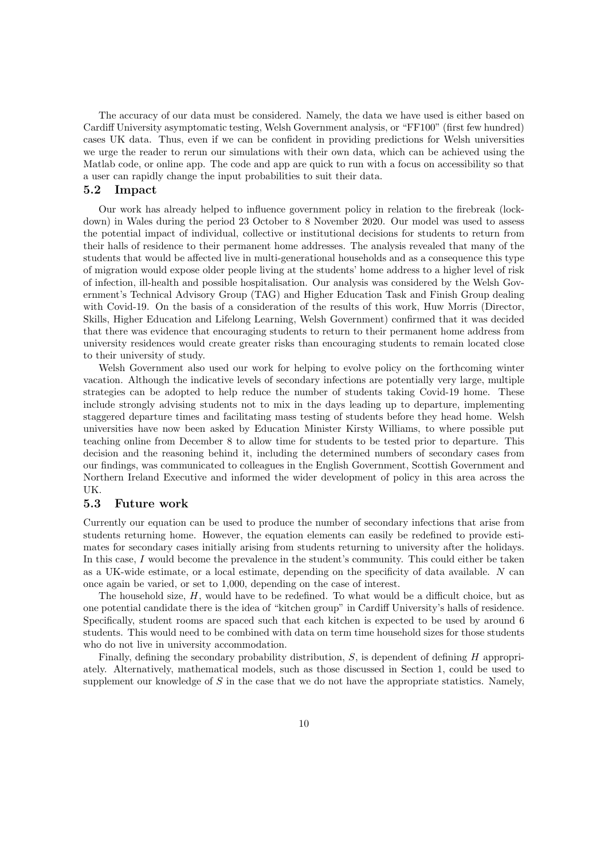The accuracy of our data must be considered. Namely, the data we have used is either based on Cardiff University asymptomatic testing, Welsh Government analysis, or "FF100" (first few hundred) cases UK data. Thus, even if we can be confident in providing predictions for Welsh universities we urge the reader to rerun our simulations with their own data, which can be achieved using the Matlab code, or online app. The code and app are quick to run with a focus on accessibility so that a user can rapidly change the input probabilities to suit their data.

#### 5.2 Impact

Our work has already helped to influence government policy in relation to the firebreak (lockdown) in Wales during the period 23 October to 8 November 2020. Our model was used to assess the potential impact of individual, collective or institutional decisions for students to return from their halls of residence to their permanent home addresses. The analysis revealed that many of the students that would be affected live in multi-generational households and as a consequence this type of migration would expose older people living at the students' home address to a higher level of risk of infection, ill-health and possible hospitalisation. Our analysis was considered by the Welsh Government's Technical Advisory Group (TAG) and Higher Education Task and Finish Group dealing with Covid-19. On the basis of a consideration of the results of this work, Huw Morris (Director, Skills, Higher Education and Lifelong Learning, Welsh Government) confirmed that it was decided that there was evidence that encouraging students to return to their permanent home address from university residences would create greater risks than encouraging students to remain located close to their university of study.

Welsh Government also used our work for helping to evolve policy on the forthcoming winter vacation. Although the indicative levels of secondary infections are potentially very large, multiple strategies can be adopted to help reduce the number of students taking Covid-19 home. These include strongly advising students not to mix in the days leading up to departure, implementing staggered departure times and facilitating mass testing of students before they head home. Welsh universities have now been asked by Education Minister Kirsty Williams, to where possible put teaching online from December 8 to allow time for students to be tested prior to departure. This decision and the reasoning behind it, including the determined numbers of secondary cases from our findings, was communicated to colleagues in the English Government, Scottish Government and Northern Ireland Executive and informed the wider development of policy in this area across the UK.

#### 5.3 Future work

Currently our equation can be used to produce the number of secondary infections that arise from students returning home. However, the equation elements can easily be redefined to provide estimates for secondary cases initially arising from students returning to university after the holidays. In this case, I would become the prevalence in the student's community. This could either be taken as a UK-wide estimate, or a local estimate, depending on the specificity of data available. N can once again be varied, or set to 1,000, depending on the case of interest.

The household size,  $H$ , would have to be redefined. To what would be a difficult choice, but as one potential candidate there is the idea of "kitchen group" in Cardiff University's halls of residence. Specifically, student rooms are spaced such that each kitchen is expected to be used by around 6 students. This would need to be combined with data on term time household sizes for those students who do not live in university accommodation.

Finally, defining the secondary probability distribution,  $S$ , is dependent of defining  $H$  appropriately. Alternatively, mathematical models, such as those discussed in Section 1, could be used to supplement our knowledge of  $S$  in the case that we do not have the appropriate statistics. Namely,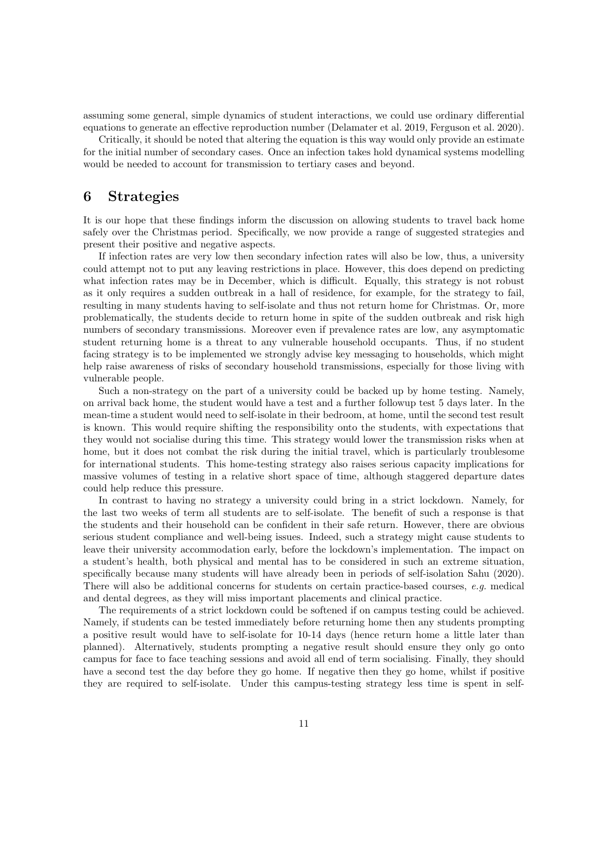assuming some general, simple dynamics of student interactions, we could use ordinary differential equations to generate an effective reproduction number (Delamater et al. 2019, Ferguson et al. 2020).

Critically, it should be noted that altering the equation is this way would only provide an estimate for the initial number of secondary cases. Once an infection takes hold dynamical systems modelling would be needed to account for transmission to tertiary cases and beyond.

## 6 Strategies

It is our hope that these findings inform the discussion on allowing students to travel back home safely over the Christmas period. Specifically, we now provide a range of suggested strategies and present their positive and negative aspects.

If infection rates are very low then secondary infection rates will also be low, thus, a university could attempt not to put any leaving restrictions in place. However, this does depend on predicting what infection rates may be in December, which is difficult. Equally, this strategy is not robust as it only requires a sudden outbreak in a hall of residence, for example, for the strategy to fail, resulting in many students having to self-isolate and thus not return home for Christmas. Or, more problematically, the students decide to return home in spite of the sudden outbreak and risk high numbers of secondary transmissions. Moreover even if prevalence rates are low, any asymptomatic student returning home is a threat to any vulnerable household occupants. Thus, if no student facing strategy is to be implemented we strongly advise key messaging to households, which might help raise awareness of risks of secondary household transmissions, especially for those living with vulnerable people.

Such a non-strategy on the part of a university could be backed up by home testing. Namely, on arrival back home, the student would have a test and a further followup test 5 days later. In the mean-time a student would need to self-isolate in their bedroom, at home, until the second test result is known. This would require shifting the responsibility onto the students, with expectations that they would not socialise during this time. This strategy would lower the transmission risks when at home, but it does not combat the risk during the initial travel, which is particularly troublesome for international students. This home-testing strategy also raises serious capacity implications for massive volumes of testing in a relative short space of time, although staggered departure dates could help reduce this pressure.

In contrast to having no strategy a university could bring in a strict lockdown. Namely, for the last two weeks of term all students are to self-isolate. The benefit of such a response is that the students and their household can be confident in their safe return. However, there are obvious serious student compliance and well-being issues. Indeed, such a strategy might cause students to leave their university accommodation early, before the lockdown's implementation. The impact on a student's health, both physical and mental has to be considered in such an extreme situation, specifically because many students will have already been in periods of self-isolation Sahu (2020). There will also be additional concerns for students on certain practice-based courses, e.g. medical and dental degrees, as they will miss important placements and clinical practice.

The requirements of a strict lockdown could be softened if on campus testing could be achieved. Namely, if students can be tested immediately before returning home then any students prompting a positive result would have to self-isolate for 10-14 days (hence return home a little later than planned). Alternatively, students prompting a negative result should ensure they only go onto campus for face to face teaching sessions and avoid all end of term socialising. Finally, they should have a second test the day before they go home. If negative then they go home, whilst if positive they are required to self-isolate. Under this campus-testing strategy less time is spent in self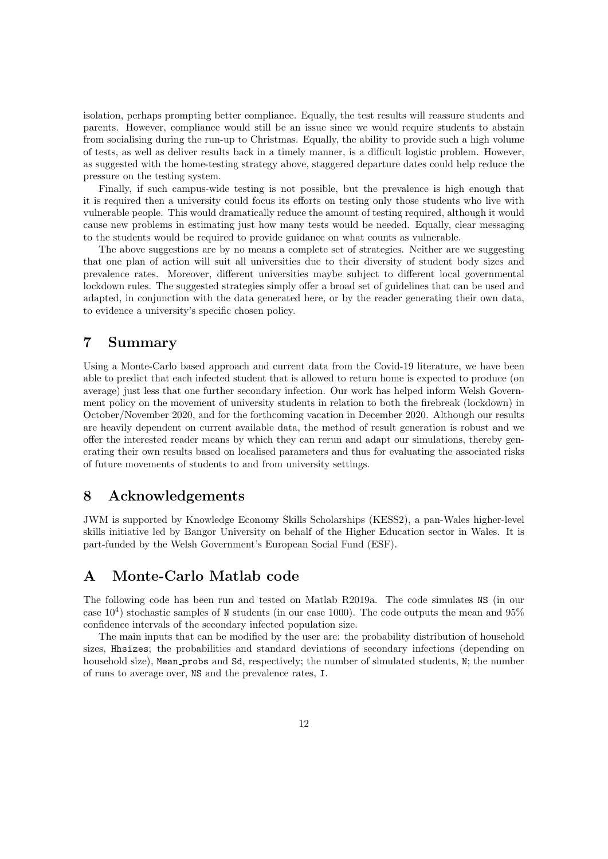isolation, perhaps prompting better compliance. Equally, the test results will reassure students and parents. However, compliance would still be an issue since we would require students to abstain from socialising during the run-up to Christmas. Equally, the ability to provide such a high volume of tests, as well as deliver results back in a timely manner, is a difficult logistic problem. However, as suggested with the home-testing strategy above, staggered departure dates could help reduce the pressure on the testing system.

Finally, if such campus-wide testing is not possible, but the prevalence is high enough that it is required then a university could focus its efforts on testing only those students who live with vulnerable people. This would dramatically reduce the amount of testing required, although it would cause new problems in estimating just how many tests would be needed. Equally, clear messaging to the students would be required to provide guidance on what counts as vulnerable.

The above suggestions are by no means a complete set of strategies. Neither are we suggesting that one plan of action will suit all universities due to their diversity of student body sizes and prevalence rates. Moreover, different universities maybe subject to different local governmental lockdown rules. The suggested strategies simply offer a broad set of guidelines that can be used and adapted, in conjunction with the data generated here, or by the reader generating their own data, to evidence a university's specific chosen policy.

## 7 Summary

Using a Monte-Carlo based approach and current data from the Covid-19 literature, we have been able to predict that each infected student that is allowed to return home is expected to produce (on average) just less that one further secondary infection. Our work has helped inform Welsh Government policy on the movement of university students in relation to both the firebreak (lockdown) in October/November 2020, and for the forthcoming vacation in December 2020. Although our results are heavily dependent on current available data, the method of result generation is robust and we offer the interested reader means by which they can rerun and adapt our simulations, thereby generating their own results based on localised parameters and thus for evaluating the associated risks of future movements of students to and from university settings.

## 8 Acknowledgements

JWM is supported by Knowledge Economy Skills Scholarships (KESS2), a pan-Wales higher-level skills initiative led by Bangor University on behalf of the Higher Education sector in Wales. It is part-funded by the Welsh Government's European Social Fund (ESF).

#### A Monte-Carlo Matlab code

The following code has been run and tested on Matlab R2019a. The code simulates NS (in our case  $10<sup>4</sup>$ ) stochastic samples of N students (in our case 1000). The code outputs the mean and 95% confidence intervals of the secondary infected population size.

The main inputs that can be modified by the user are: the probability distribution of household sizes, Hhsizes; the probabilities and standard deviations of secondary infections (depending on household size), Mean probs and Sd, respectively; the number of simulated students, N; the number of runs to average over, NS and the prevalence rates, I.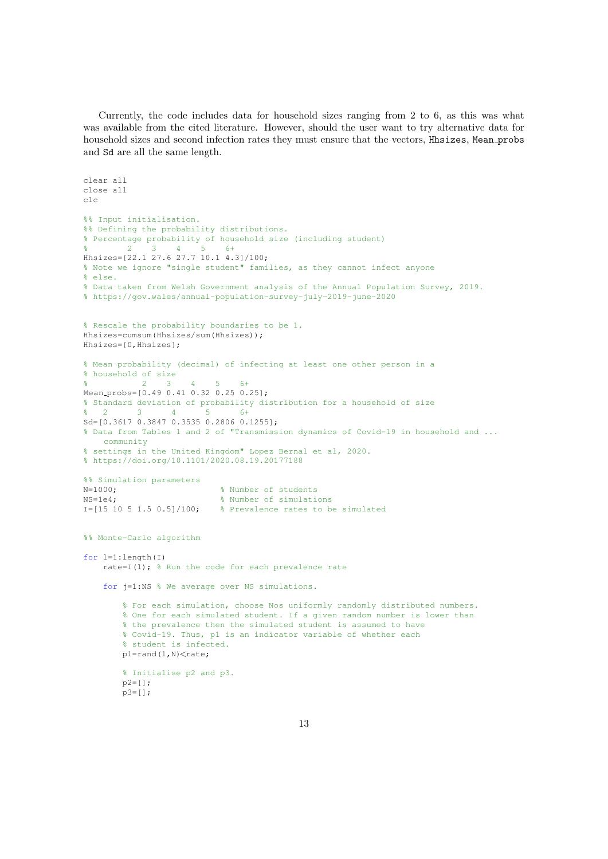Currently, the code includes data for household sizes ranging from 2 to 6, as this was what was available from the cited literature. However, should the user want to try alternative data for household sizes and second infection rates they must ensure that the vectors, Hhsizes, Mean probs and Sd are all the same length.

```
clear all
close all
clc
%% Input initialisation.
%% Defining the probability distributions.
% Percentage probability of household size (including student)
% 2 3 4 5 6+
Hhsizes=[22.1 27.6 27.7 10.1 4.3]/100;
% Note we ignore "single student" families, as they cannot infect anyone
% else.
% Data taken from Welsh Government analysis of the Annual Population Survey, 2019.
% https://gov.wales/annual-population-survey-july-2019-june-2020
% Rescale the probability boundaries to be 1.
Hhsizes=cumsum(Hhsizes/sum(Hhsizes));
Hhsizes=[0,Hhsizes];
% Mean probability (decimal) of infecting at least one other person in a
% household of size
% 2 3 4 5 6+
Mean probs=[0.49 0.41 0.32 0.25 0.25];
% Standard deviation of probability distribution for a household of size
% 2 3 4 5 6+
Sd=[0.3617 0.3847 0.3535 0.2806 0.1255];
% Data from Tables 1 and 2 of "Transmission dynamics of Covid-19 in household and ...
   community
% settings in the United Kingdom" Lopez Bernal et al, 2020.
% https://doi.org/10.1101/2020.08.19.20177188
%% Simulation parameters
N=1000; 8 Number of students
NS=1e4; \frac{1}{3} Number of simulations
I=[15 10 5 1.5 0.5]/100; % Prevalence rates to be simulated
%% Monte-Carlo algorithm
for l=1:length(I)
    rate=I(l); \frac{1}{2} Run the code for each prevalence rate
    for j=1:NS % We average over NS simulations.
        % For each simulation, choose Nos uniformly randomly distributed numbers.
        % One for each simulated student. If a given random number is lower than
        % the prevalence then the simulated student is assumed to have
       % Covid-19. Thus, p1 is an indicator variable of whether each
        % student is infected.
       p1=rand(1,N)<rate;
        % Initialise p2 and p3.
       p2=[];
       p3=[];
```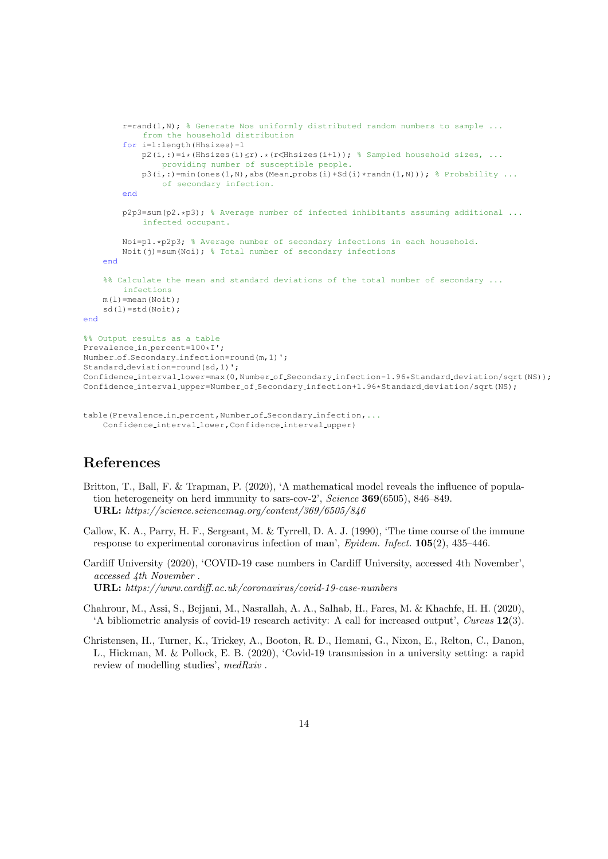```
r=rand(1,N); % Generate Nos uniformly distributed random numbers to sample ...
            from the household distribution
        for i=1:length(Hhsizes)-1
           p2(i,:)=i*(Hhsizes(i)< r).*(r<Hhsizes(i+1)); % Sampled household sizes, ...
                providing number of susceptible people.
            p3(i,:)=min(ones(1,N),abs(Mean-probs(i)+Sd(i)*randn(1,N))); % Probability ...
                of secondary infection.
        end
        p2p3=sum(p2.*p3); % Average number of infected inhibitants assuming additional ...
            infected occupant.
        Noi=p1.*p2p3: % Average number of secondary infections in each household.
        Noit(j)=sum(Noi); % Total number of secondary infections
   end
    %% Calculate the mean and standard deviations of the total number of secondary ...
        infections
   m(1)=mean(Noit);
   sd(1)=std(Noit);end
%% Output results as a table
Prevalence_in_percent=100*I';
Number-of-Secondary-infection=round(m, 1)';
Standard deviation=round(sd,1)';
Confidence_interval_lower=max(0,Number_of_Secondary_infection-1.96*Standard_deviation/sqrt(NS));
Confidence interval upper=Number of Secondary infection+1.96*Standard deviation/sqrt(NS);
```

```
table(Prevalence_in_percent,Number_of_Secondary_infection,...
    Confidence interval lower,Confidence interval upper)
```
## References

- Britton, T., Ball, F. & Trapman, P. (2020), 'A mathematical model reveals the influence of population heterogeneity on herd immunity to sars-cov-2', Science 369(6505), 846–849. URL: https://science.sciencemag.org/content/369/6505/846
- Callow, K. A., Parry, H. F., Sergeant, M. & Tyrrell, D. A. J. (1990), 'The time course of the immune response to experimental coronavirus infection of man', Epidem. Infect.  $105(2)$ , 435–446.
- Cardiff University (2020), 'COVID-19 case numbers in Cardiff University, accessed 4th November', accessed 4th November . URL: https://www.cardiff.ac.uk/coronavirus/covid-19-case-numbers
- Chahrour, M., Assi, S., Bejjani, M., Nasrallah, A. A., Salhab, H., Fares, M. & Khachfe, H. H. (2020), 'A bibliometric analysis of covid-19 research activity: A call for increased output', Cureus 12(3).
- Christensen, H., Turner, K., Trickey, A., Booton, R. D., Hemani, G., Nixon, E., Relton, C., Danon, L., Hickman, M. & Pollock, E. B. (2020), 'Covid-19 transmission in a university setting: a rapid review of modelling studies', medRxiv .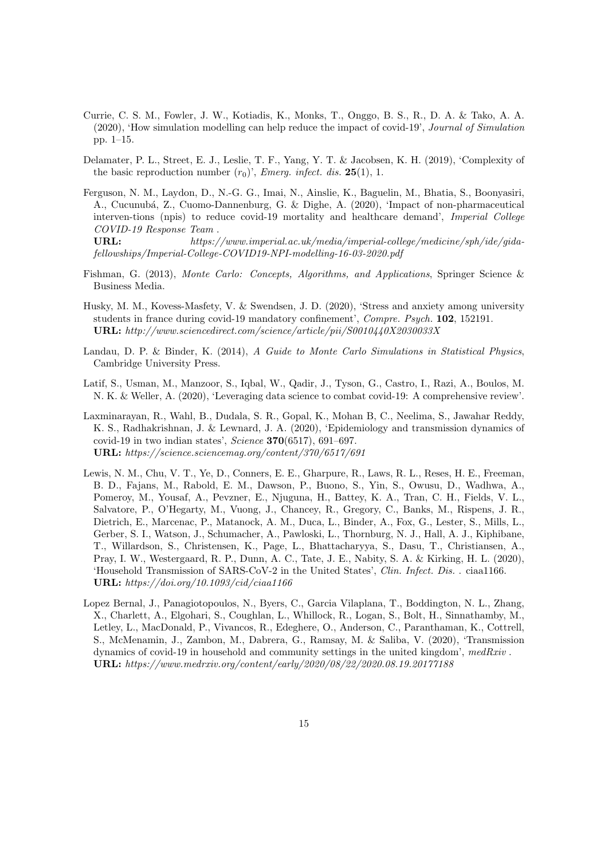- Currie, C. S. M., Fowler, J. W., Kotiadis, K., Monks, T., Onggo, B. S., R., D. A. & Tako, A. A. (2020), 'How simulation modelling can help reduce the impact of covid-19', Journal of Simulation pp. 1–15.
- Delamater, P. L., Street, E. J., Leslie, T. F., Yang, Y. T. & Jacobsen, K. H. (2019), 'Complexity of the basic reproduction number  $(r_0)$ ', *Emerg. infect. dis.* **25**(1), 1.
- Ferguson, N. M., Laydon, D., N.-G. G., Imai, N., Ainslie, K., Baguelin, M., Bhatia, S., Boonyasiri, A., Cucunubá, Z., Cuomo-Dannenburg, G. & Dighe, A. (2020), 'Impact of non-pharmaceutical interven-tions (npis) to reduce covid-19 mortality and healthcare demand', Imperial College COVID-19 Response Team .

URL: https://www.imperial.ac.uk/media/imperial-college/medicine/sph/ide/gidafellowships/Imperial-College-COVID19-NPI-modelling-16-03-2020.pdf

- Fishman, G. (2013), Monte Carlo: Concepts, Algorithms, and Applications, Springer Science & Business Media.
- Husky, M. M., Kovess-Masfety, V. & Swendsen, J. D. (2020), 'Stress and anxiety among university students in france during covid-19 mandatory confinement', Compre. Psych. 102, 152191. URL: http://www.sciencedirect.com/science/article/pii/S0010440X2030033X
- Landau, D. P. & Binder, K. (2014), A Guide to Monte Carlo Simulations in Statistical Physics, Cambridge University Press.
- Latif, S., Usman, M., Manzoor, S., Iqbal, W., Qadir, J., Tyson, G., Castro, I., Razi, A., Boulos, M. N. K. & Weller, A. (2020), 'Leveraging data science to combat covid-19: A comprehensive review'.
- Laxminarayan, R., Wahl, B., Dudala, S. R., Gopal, K., Mohan B, C., Neelima, S., Jawahar Reddy, K. S., Radhakrishnan, J. & Lewnard, J. A. (2020), 'Epidemiology and transmission dynamics of covid-19 in two indian states', Science  $370(6517)$ , 691–697. URL: https://science.sciencemag.org/content/370/6517/691
- Lewis, N. M., Chu, V. T., Ye, D., Conners, E. E., Gharpure, R., Laws, R. L., Reses, H. E., Freeman, B. D., Fajans, M., Rabold, E. M., Dawson, P., Buono, S., Yin, S., Owusu, D., Wadhwa, A., Pomeroy, M., Yousaf, A., Pevzner, E., Njuguna, H., Battey, K. A., Tran, C. H., Fields, V. L., Salvatore, P., O'Hegarty, M., Vuong, J., Chancey, R., Gregory, C., Banks, M., Rispens, J. R., Dietrich, E., Marcenac, P., Matanock, A. M., Duca, L., Binder, A., Fox, G., Lester, S., Mills, L., Gerber, S. I., Watson, J., Schumacher, A., Pawloski, L., Thornburg, N. J., Hall, A. J., Kiphibane, T., Willardson, S., Christensen, K., Page, L., Bhattacharyya, S., Dasu, T., Christiansen, A., Pray, I. W., Westergaard, R. P., Dunn, A. C., Tate, J. E., Nabity, S. A. & Kirking, H. L. (2020), 'Household Transmission of SARS-CoV-2 in the United States', Clin. Infect. Dis. . ciaa1166. URL: https://doi.org/10.1093/cid/ciaa1166
- Lopez Bernal, J., Panagiotopoulos, N., Byers, C., Garcia Vilaplana, T., Boddington, N. L., Zhang, X., Charlett, A., Elgohari, S., Coughlan, L., Whillock, R., Logan, S., Bolt, H., Sinnathamby, M., Letley, L., MacDonald, P., Vivancos, R., Edeghere, O., Anderson, C., Paranthaman, K., Cottrell, S., McMenamin, J., Zambon, M., Dabrera, G., Ramsay, M. & Saliba, V. (2020), 'Transmission dynamics of covid-19 in household and community settings in the united kingdom',  $medRxiv$ . URL: https://www.medrxiv.org/content/early/2020/08/22/2020.08.19.20177188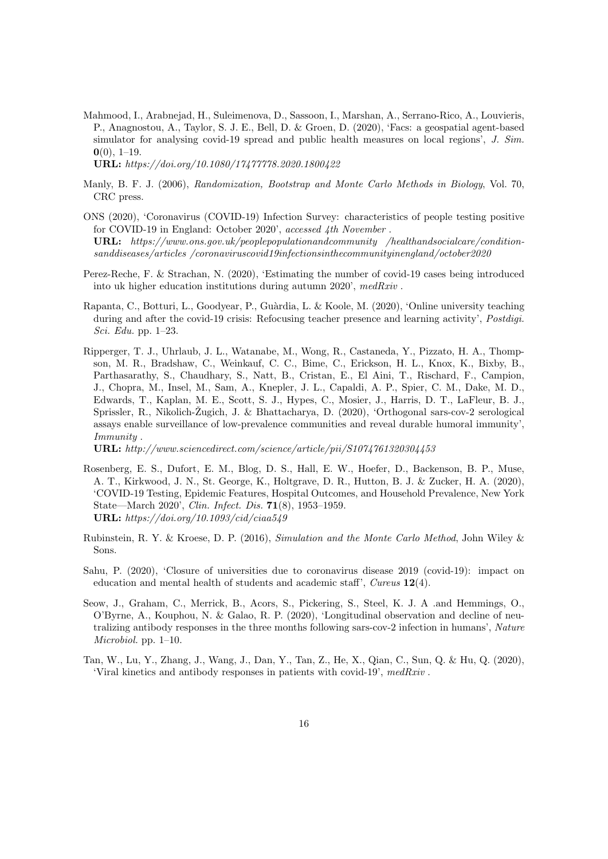Mahmood, I., Arabnejad, H., Suleimenova, D., Sassoon, I., Marshan, A., Serrano-Rico, A., Louvieris, P., Anagnostou, A., Taylor, S. J. E., Bell, D. & Groen, D. (2020), 'Facs: a geospatial agent-based simulator for analysing covid-19 spread and public health measures on local regions', J. Sim.  $0(0)$ , 1–19.

URL: https://doi.org/10.1080/17477778.2020.1800422

- Manly, B. F. J. (2006), Randomization, Bootstrap and Monte Carlo Methods in Biology, Vol. 70, CRC press.
- ONS (2020), 'Coronavirus (COVID-19) Infection Survey: characteristics of people testing positive for COVID-19 in England: October 2020', accessed 4th November . URL: https://www.ons.gov.uk/peoplepopulationandcommunity /healthandsocialcare/conditionsanddiseases/articles /coronaviruscovid19infectionsinthecommunityinengland/october2020
- Perez-Reche, F. & Strachan, N. (2020), 'Estimating the number of covid-19 cases being introduced into uk higher education institutions during autumn 2020', medRxiv .
- Rapanta, C., Botturi, L., Goodyear, P., Guàrdia, L. & Koole, M. (2020), 'Online university teaching during and after the covid-19 crisis: Refocusing teacher presence and learning activity', *Postdigi*. Sci. Edu. pp. 1–23.
- Ripperger, T. J., Uhrlaub, J. L., Watanabe, M., Wong, R., Castaneda, Y., Pizzato, H. A., Thompson, M. R., Bradshaw, C., Weinkauf, C. C., Bime, C., Erickson, H. L., Knox, K., Bixby, B., Parthasarathy, S., Chaudhary, S., Natt, B., Cristan, E., El Aini, T., Rischard, F., Campion, J., Chopra, M., Insel, M., Sam, A., Knepler, J. L., Capaldi, A. P., Spier, C. M., Dake, M. D., Edwards, T., Kaplan, M. E., Scott, S. J., Hypes, C., Mosier, J., Harris, D. T., LaFleur, B. J., Sprissler, R., Nikolich-Žugich, J. & Bhattacharya, D. (2020), 'Orthogonal sars-cov-2 serological assays enable surveillance of low-prevalence communities and reveal durable humoral immunity', Immunity .

URL: http://www.sciencedirect.com/science/article/pii/S1074761320304453

- Rosenberg, E. S., Dufort, E. M., Blog, D. S., Hall, E. W., Hoefer, D., Backenson, B. P., Muse, A. T., Kirkwood, J. N., St. George, K., Holtgrave, D. R., Hutton, B. J. & Zucker, H. A. (2020), 'COVID-19 Testing, Epidemic Features, Hospital Outcomes, and Household Prevalence, New York State—March 2020', Clin. Infect. Dis. 71(8), 1953–1959. URL: https://doi.org/10.1093/cid/ciaa549
- Rubinstein, R. Y. & Kroese, D. P. (2016), Simulation and the Monte Carlo Method, John Wiley & Sons.
- Sahu, P. (2020), 'Closure of universities due to coronavirus disease 2019 (covid-19): impact on education and mental health of students and academic staff', Cureus  $12(4)$ .
- Seow, J., Graham, C., Merrick, B., Acors, S., Pickering, S., Steel, K. J. A .and Hemmings, O., O'Byrne, A., Kouphou, N. & Galao, R. P. (2020), 'Longitudinal observation and decline of neutralizing antibody responses in the three months following sars-cov-2 infection in humans', Nature Microbiol. pp. 1–10.
- Tan, W., Lu, Y., Zhang, J., Wang, J., Dan, Y., Tan, Z., He, X., Qian, C., Sun, Q. & Hu, Q. (2020), 'Viral kinetics and antibody responses in patients with covid-19', medRxiv .